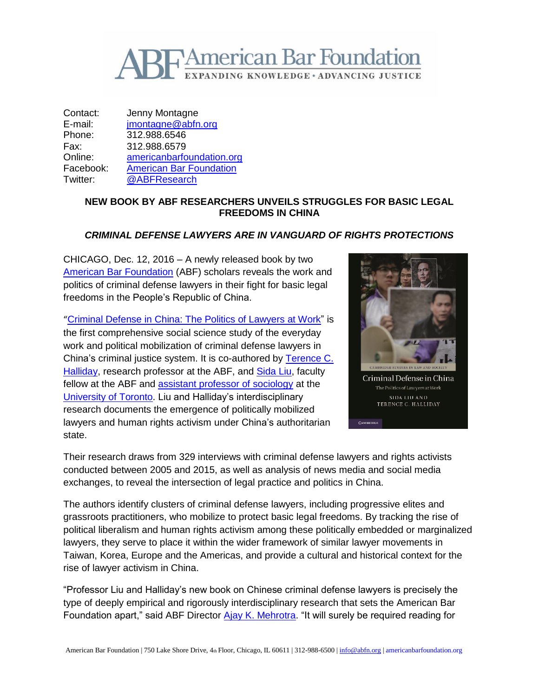

Contact: Jenny Montagne E-mail: [jmontagne@abfn.org](mailto:jmontagne@abfn.org) Phone: 312.988.6546 Fax: 312.988.6579 Online: [americanbarfoundation.org](http://www.americanbarfoundation.org/) Facebook: [American Bar Foundation](https://www.facebook.com/americanbarfoundation/) Twitter: [@ABFResearch](https://twitter.com/ABFResearch)

## **NEW BOOK BY ABF RESEARCHERS UNVEILS STRUGGLES FOR BASIC LEGAL FREEDOMS IN CHINA**

## *CRIMINAL DEFENSE LAWYERS ARE IN VANGUARD OF RIGHTS PROTECTIONS*

CHICAGO, Dec. 12, 2016 – A newly released book by two [American Bar Foundation](http://www.americanbarfoundation.org/index.html) (ABF) scholars reveals the work and politics of criminal defense lawyers in their fight for basic legal freedoms in the People's Republic of China.

"[Criminal Defense in China: The Politics of Lawyers at Work"](http://www.cambridge.org/us/academic/subjects/law/socio-legal-studies/criminal-defense-china-politics-lawyers-work) is the first comprehensive social science study of the everyday work and political mobilization of criminal defense lawyers in China's criminal justice system. It is co-authored by [Terence C.](http://www.americanbarfoundation.org/faculty/profile/10)  [Halliday,](http://www.americanbarfoundation.org/faculty/profile/10) research professor at the ABF, and [Sida Liu,](http://www.americanbarfoundation.org/faculty/profile/33) faculty fellow at the ABF and [assistant professor of sociology](http://www.sociology.utoronto.ca/people/Research_and_Teaching_Faculty/sidaliu.htm) at the [University of Toronto.](https://www.utoronto.ca/) Liu and Halliday's interdisciplinary research documents the emergence of politically mobilized lawyers and human rights activism under China's authoritarian state.



Their research draws from 329 interviews with criminal defense lawyers and rights activists conducted between 2005 and 2015, as well as analysis of news media and social media exchanges, to reveal the intersection of legal practice and politics in China.

The authors identify clusters of criminal defense lawyers, including progressive elites and grassroots practitioners, who mobilize to protect basic legal freedoms. By tracking the rise of political liberalism and human rights activism among these politically embedded or marginalized lawyers, they serve to place it within the wider framework of similar lawyer movements in Taiwan, Korea, Europe and the Americas, and provide a cultural and historical context for the rise of lawyer activism in China.

"Professor Liu and Halliday's new book on Chinese criminal defense lawyers is precisely the type of deeply empirical and rigorously interdisciplinary research that sets the American Bar Foundation apart," said ABF Director [Ajay K. Mehrotra.](http://www.americanbarfoundation.org/faculty/profile/46) "It will surely be required reading for